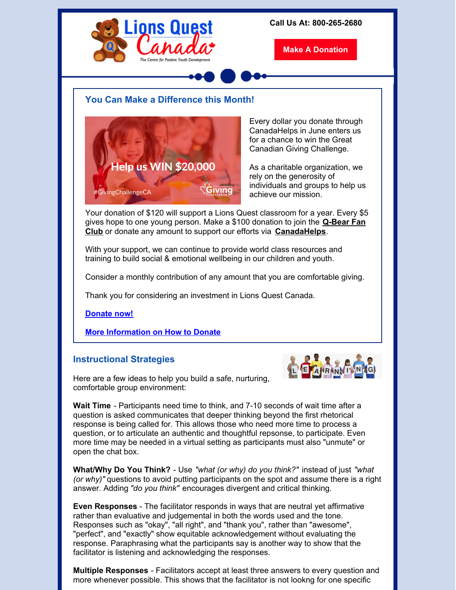

**Wait Time** - Participants need time to think, and 7-10 seconds of wait time after a question is asked communicates that deeper thinking beyond the first rhetorical response is being called for. This allows those who need more time to process a question, or to articulate an authentic and thoughtful repsonse, to participate. Even more time may be needed in a virtual setting as participants must also "unmute" or open the chat box.

**What/Why Do You Think?** - Use *"what (or why) do you think?"* instead of just *"what (or why)"* questions to avoid putting participants on the spot and assume there is a right answer. Adding *"do you think"* encourages divergent and critical thinking.

**Even Responses** - The facilitator responds in ways that are neutral yet affirmative rather than evaluative and judgemental in both the words used and the tone. Responses such as "okay", "all right", and "thank you", rather than "awesome", "perfect", and "exactly" show equitable acknowledgement without evaluating the response. Paraphrasing what the participants say is another way to show that the facilitator is listening and acknowledging the responses.

**Multiple Responses** - Facilitators accept at least three answers to every question and more whenever possible. This shows that the facilitator is not lookng for one specific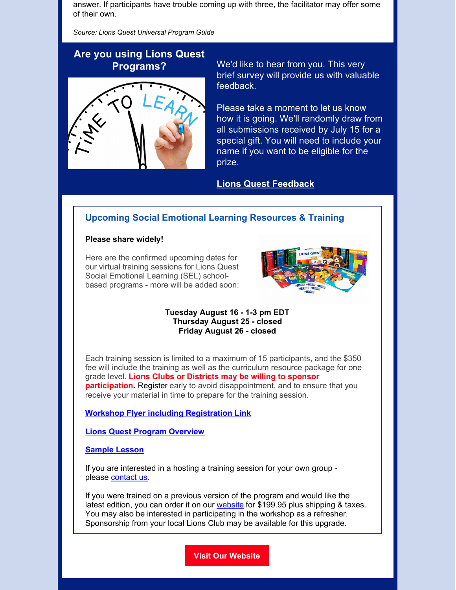answer. If participants have trouble coming up with three, the facilitator may offer some of their own.

*Source: Lions Quest Universal Program Guide*

# **Are you using Lions Quest**



**Programs?** We'd like to hear from you. This very brief survey will provide us with valuable feedback.

> Please take a moment to let us know how it is going. We'll randomly draw from all submissions received by July 15 for a special gift. You will need to include your name if you want to be eligible for the prize.

# **Lions Quest [Feedback](https://forms.gle/EF69jN37TnEBzGHW9)**

# **Upcoming Social Emotional Learning Resources & Training**

### **Please share widely!**

Here are the confirmed upcoming dates for our virtual training sessions for Lions Quest Social Emotional Learning (SEL) schoolbased programs - more will be added soon:



#### **Tuesday August 16 - 1-3 pm EDT Thursday August 25 - closed Friday August 26 - closed**

Each training session is limited to a maximum of 15 participants, and the \$350 fee will include the training as well as the curriculum resource package for one grade level. **Lions Clubs or Districts may be willing to sponsor participation.** Register early to avoid disappointment, and to ensure that you receive your material in time to prepare for the training session.

## **Workshop Flyer including [Registration](https://files.constantcontact.com/235136ea001/974d9211-2c1a-4cff-8e82-8fac8f44d6f7.pdf?rdr=true) Link**

**Lions Quest Program [Overview](https://files.constantcontact.com/235136ea001/328b2703-8ed4-4fe6-81ea-eb72672a3dc8.pdf?rdr=true)**

#### **[Sample](https://files.constantcontact.com/235136ea001/106cbe5e-b955-4203-ad01-c21a3f2f0c18.pdf?rdr=true) Lesson**

If you are interested in a hosting a training session for your own group please [contact](mailto:kay@lionsquest.ca) us.

If you were trained on a previous version of the program and would like the latest edition, you can order it on our [website](https://www.lionsquest.ca/) for \$199.95 plus shipping & taxes. You may also be interested in participating in the workshop as a refresher. Sponsorship from your local Lions Club may be available for this upgrade.

**Visit Our [Website](https://www.lionsquest.ca/)**